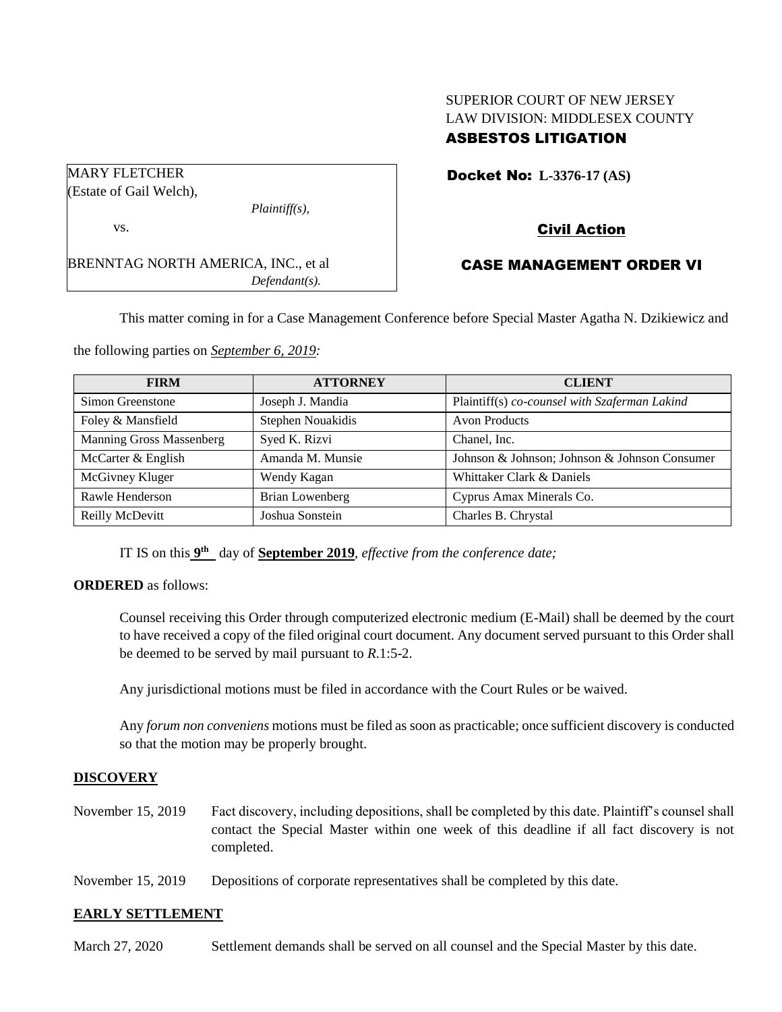# SUPERIOR COURT OF NEW JERSEY LAW DIVISION: MIDDLESEX COUNTY ASBESTOS LITIGATION

| <b>MARY FLETCHER</b>                       |                  |
|--------------------------------------------|------------------|
| (Estate of Gail Welch),                    |                  |
|                                            | $Plaintiff(s)$ , |
| VS.                                        |                  |
| <b>BRENNTAG NORTH AMERICA, INC., et al</b> |                  |
|                                            | $Defendant(s)$ . |

## Docket No: **L-3376-17 (AS)**

## Civil Action

### CASE MANAGEMENT ORDER VI

This matter coming in for a Case Management Conference before Special Master Agatha N. Dzikiewicz and

the following parties on *September 6, 2019:*

| <b>FIRM</b>              | <b>ATTORNEY</b>   | <b>CLIENT</b>                                 |
|--------------------------|-------------------|-----------------------------------------------|
| Simon Greenstone         | Joseph J. Mandia  | Plaintiff(s) co-counsel with Szaferman Lakind |
| Foley & Mansfield        | Stephen Nouakidis | <b>Avon Products</b>                          |
| Manning Gross Massenberg | Syed K. Rizvi     | Chanel, Inc.                                  |
| McCarter & English       | Amanda M. Munsie  | Johnson & Johnson; Johnson & Johnson Consumer |
| McGivney Kluger          | Wendy Kagan       | Whittaker Clark & Daniels                     |
| Rawle Henderson          | Brian Lowenberg   | Cyprus Amax Minerals Co.                      |
| Reilly McDevitt          | Joshua Sonstein   | Charles B. Chrystal                           |

IT IS on this  $9<sup>th</sup>$  day of **September 2019**, *effective from the conference date*;

#### **ORDERED** as follows:

Counsel receiving this Order through computerized electronic medium (E-Mail) shall be deemed by the court to have received a copy of the filed original court document. Any document served pursuant to this Order shall be deemed to be served by mail pursuant to *R*.1:5-2.

Any jurisdictional motions must be filed in accordance with the Court Rules or be waived.

Any *forum non conveniens* motions must be filed as soon as practicable; once sufficient discovery is conducted so that the motion may be properly brought.

#### **DISCOVERY**

- November 15, 2019 Fact discovery, including depositions, shall be completed by this date. Plaintiff's counsel shall contact the Special Master within one week of this deadline if all fact discovery is not completed.
- November 15, 2019 Depositions of corporate representatives shall be completed by this date.

#### **EARLY SETTLEMENT**

March 27, 2020 Settlement demands shall be served on all counsel and the Special Master by this date.